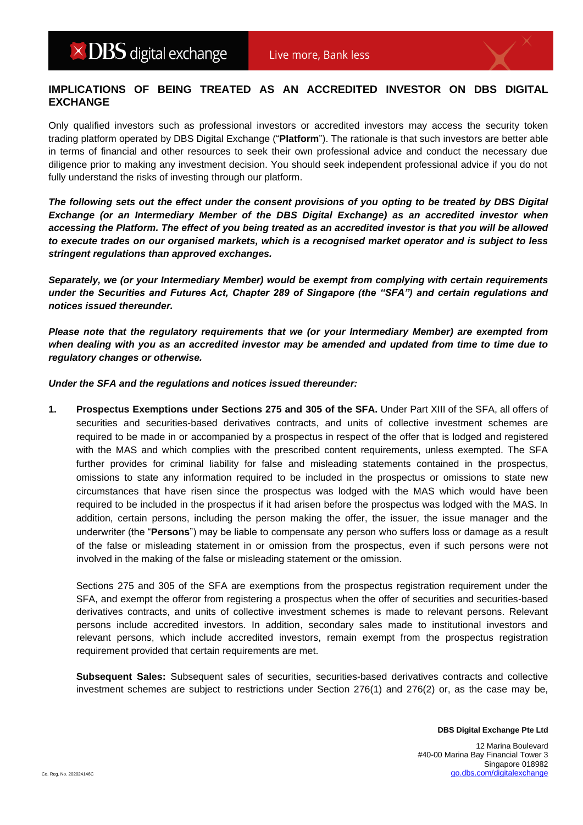## **IMPLICATIONS OF BEING TREATED AS AN ACCREDITED INVESTOR ON DBS DIGITAL EXCHANGE**

Only qualified investors such as professional investors or accredited investors may access the security token trading platform operated by DBS Digital Exchange ("**Platform**"). The rationale is that such investors are better able in terms of financial and other resources to seek their own professional advice and conduct the necessary due diligence prior to making any investment decision. You should seek independent professional advice if you do not fully understand the risks of investing through our platform.

*The following sets out the effect under the consent provisions of you opting to be treated by DBS Digital Exchange (or an Intermediary Member of the DBS Digital Exchange) as an accredited investor when accessing the Platform. The effect of you being treated as an accredited investor is that you will be allowed to execute trades on our organised markets, which is a recognised market operator and is subject to less stringent regulations than approved exchanges.*

*Separately, we (or your Intermediary Member) would be exempt from complying with certain requirements under the Securities and Futures Act, Chapter 289 of Singapore (the "SFA") and certain regulations and notices issued thereunder.*

*Please note that the regulatory requirements that we (or your Intermediary Member) are exempted from when dealing with you as an accredited investor may be amended and updated from time to time due to regulatory changes or otherwise.* 

*Under the SFA and the regulations and notices issued thereunder:*

**1. Prospectus Exemptions under Sections 275 and 305 of the SFA.** Under Part XIII of the SFA, all offers of securities and securities-based derivatives contracts, and units of collective investment schemes are required to be made in or accompanied by a prospectus in respect of the offer that is lodged and registered with the MAS and which complies with the prescribed content requirements, unless exempted. The SFA further provides for criminal liability for false and misleading statements contained in the prospectus, omissions to state any information required to be included in the prospectus or omissions to state new circumstances that have risen since the prospectus was lodged with the MAS which would have been required to be included in the prospectus if it had arisen before the prospectus was lodged with the MAS. In addition, certain persons, including the person making the offer, the issuer, the issue manager and the underwriter (the "**Persons**") may be liable to compensate any person who suffers loss or damage as a result of the false or misleading statement in or omission from the prospectus, even if such persons were not involved in the making of the false or misleading statement or the omission.

Sections 275 and 305 of the SFA are exemptions from the prospectus registration requirement under the SFA, and exempt the offeror from registering a prospectus when the offer of securities and securities-based derivatives contracts, and units of collective investment schemes is made to relevant persons. Relevant persons include accredited investors. In addition, secondary sales made to institutional investors and relevant persons, which include accredited investors, remain exempt from the prospectus registration requirement provided that certain requirements are met.

**Subsequent Sales:** Subsequent sales of securities, securities-based derivatives contracts and collective investment schemes are subject to restrictions under Section 276(1) and 276(2) or, as the case may be,